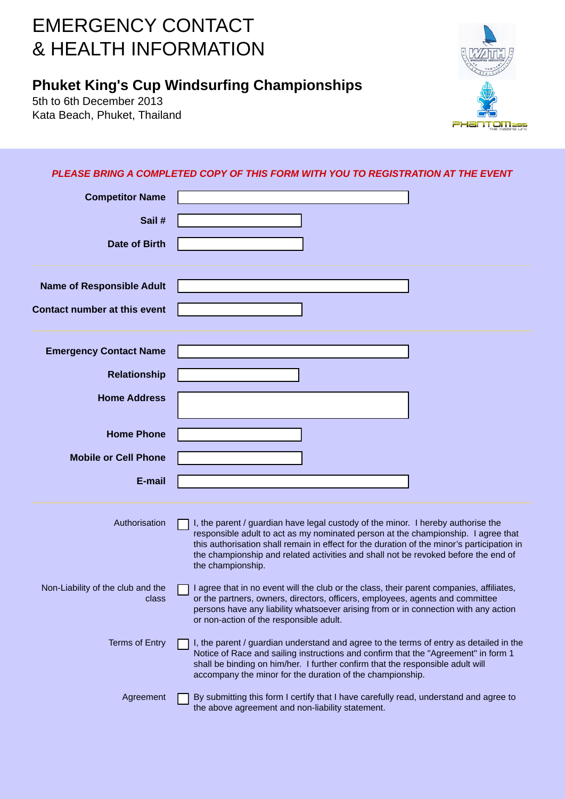## EMERGENCY CONTACT & HEALTH INFORMATION

## **Phuket King's Cup Windsurfing Championships**

5th to 6th December 2013 Kata Beach, Phuket, Thailand



## *PLEASE BRING A COMPLETED COPY OF THIS FORM WITH YOU TO REGISTRATION AT THE EVENT*

| <b>Competitor Name</b>              |                                                                                                                                                                                                                 |
|-------------------------------------|-----------------------------------------------------------------------------------------------------------------------------------------------------------------------------------------------------------------|
| Sail#                               |                                                                                                                                                                                                                 |
| <b>Date of Birth</b>                |                                                                                                                                                                                                                 |
|                                     |                                                                                                                                                                                                                 |
| <b>Name of Responsible Adult</b>    |                                                                                                                                                                                                                 |
| <b>Contact number at this event</b> |                                                                                                                                                                                                                 |
| <b>Emergency Contact Name</b>       |                                                                                                                                                                                                                 |
| <b>Relationship</b>                 |                                                                                                                                                                                                                 |
|                                     |                                                                                                                                                                                                                 |
| <b>Home Address</b>                 |                                                                                                                                                                                                                 |
| <b>Home Phone</b>                   |                                                                                                                                                                                                                 |
| <b>Mobile or Cell Phone</b>         |                                                                                                                                                                                                                 |
| E-mail                              |                                                                                                                                                                                                                 |
|                                     |                                                                                                                                                                                                                 |
| Authorisation                       | I, the parent / guardian have legal custody of the minor. I hereby authorise the<br>responsible adult to act as my nominated person at the championship. I agree that                                           |
|                                     | this authorisation shall remain in effect for the duration of the minor's participation in<br>the championship and related activities and shall not be revoked before the end of<br>the championship.           |
| Non-Liability of the club and the   | I agree that in no event will the club or the class, their parent companies, affiliates,                                                                                                                        |
| class                               | or the partners, owners, directors, officers, employees, agents and committee<br>persons have any liability whatsoever arising from or in connection with any action<br>or non-action of the responsible adult. |
| <b>Terms of Entry</b>               | I, the parent / guardian understand and agree to the terms of entry as detailed in the<br>Notice of Race and sailing instructions and confirm that the "Agreement" in form 1                                    |
|                                     | shall be binding on him/her. I further confirm that the responsible adult will<br>accompany the minor for the duration of the championship.                                                                     |
| Agreement                           | By submitting this form I certify that I have carefully read, understand and agree to<br>the above agreement and non-liability statement.                                                                       |